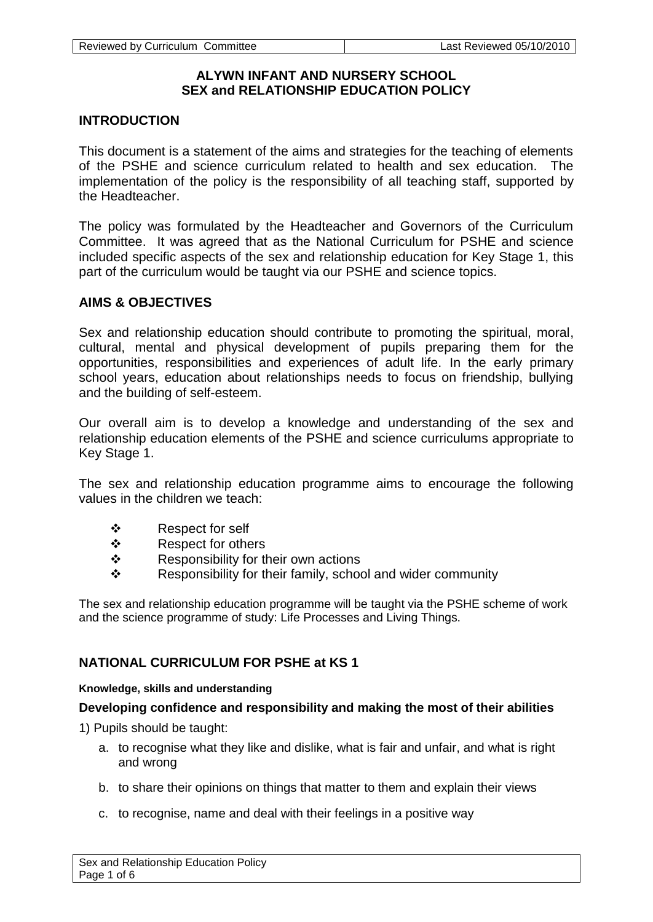# **ALYWN INFANT AND NURSERY SCHOOL SEX and RELATIONSHIP EDUCATION POLICY**

# **INTRODUCTION**

This document is a statement of the aims and strategies for the teaching of elements of the PSHE and science curriculum related to health and sex education. The implementation of the policy is the responsibility of all teaching staff, supported by the Headteacher.

The policy was formulated by the Headteacher and Governors of the Curriculum Committee. It was agreed that as the National Curriculum for PSHE and science included specific aspects of the sex and relationship education for Key Stage 1, this part of the curriculum would be taught via our PSHE and science topics.

## **AIMS & OBJECTIVES**

Sex and relationship education should contribute to promoting the spiritual, moral, cultural, mental and physical development of pupils preparing them for the opportunities, responsibilities and experiences of adult life. In the early primary school years, education about relationships needs to focus on friendship, bullying and the building of self-esteem.

Our overall aim is to develop a knowledge and understanding of the sex and relationship education elements of the PSHE and science curriculums appropriate to Key Stage 1.

The sex and relationship education programme aims to encourage the following values in the children we teach:

- ❖ Respect for self
- ❖ Respect for others
- $\mathbf{\hat{P}}$  Responsibility for their own actions
- $\div$  Responsibility for their family, school and wider community

The sex and relationship education programme will be taught via the PSHE scheme of work and the science programme of study: Life Processes and Living Things.

# **NATIONAL CURRICULUM FOR PSHE at KS 1**

#### **Knowledge, skills and understanding**

## **Developing confidence and responsibility and making the most of their abilities**

1) Pupils should be taught:

- a. to recognise what they like and dislike, what is fair and unfair, and what is right and wrong
- b. to share their opinions on things that matter to them and explain their views
- c. to recognise, name and deal with their feelings in a positive way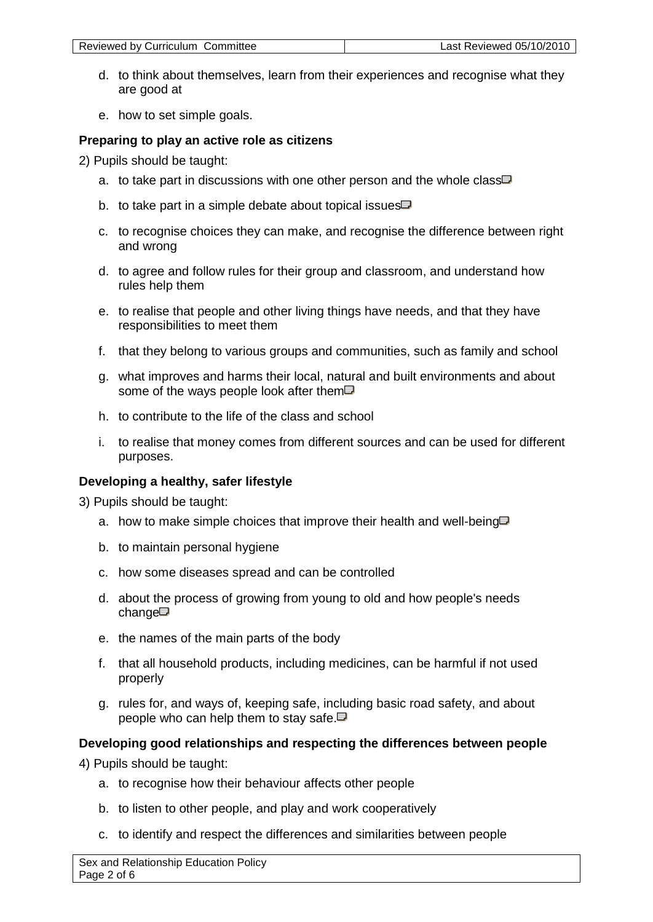| Reviewed by Curriculum Committee | Last Reviewed 05/10/2010 |
|----------------------------------|--------------------------|
|                                  |                          |

- d. to think about themselves, learn from their experiences and recognise what they are good at
- e. how to set simple goals.

## **Preparing to play an active role as citizens**

2) Pupils should be taught:

- a. [to take part in discussions with one other person and the whole class](http://www.nc.uk.net/webdav/servlet/XRM?Page/@id=6001&Session/@id=D_YVlu8I2PYIGhgUfnq62W&POS%5b@stateId_eq_main%5d/@id=4213&POS%5b@stateId_eq_note%5d/@id=4224)  $\Box$
- b. [to take part in a simple debate about topical issues](http://www.nc.uk.net/webdav/servlet/XRM?Page/@id=6001&Session/@id=D_YVlu8I2PYIGhgUfnq62W&POS%5b@stateId_eq_main%5d/@id=4213&POS%5b@stateId_eq_note%5d/@id=4225)  $\Box$
- c. to recognise choices they can make, and recognise the difference between right and wrong
- d. to agree and follow rules for their group and classroom, and understand how rules help them
- e. to realise that people and other living things have needs, and that they have responsibilities to meet them
- f. that they belong to various groups and communities, such as family and school
- g. [what improves and harms their local, natural and built environments and about](http://www.nc.uk.net/webdav/servlet/XRM?Page/@id=6001&Session/@id=D_YVlu8I2PYIGhgUfnq62W&POS%5b@stateId_eq_main%5d/@id=4213&POS%5b@stateId_eq_note%5d/@id=4231)  [some of the ways people look after them](http://www.nc.uk.net/webdav/servlet/XRM?Page/@id=6001&Session/@id=D_YVlu8I2PYIGhgUfnq62W&POS%5b@stateId_eq_main%5d/@id=4213&POS%5b@stateId_eq_note%5d/@id=4231) $\Box$
- h. to contribute to the life of the class and school
- i. to realise that money comes from different sources and can be used for different purposes.

# **Developing a healthy, safer lifestyle**

3) Pupils should be taught:

- a. [how to make simple choices that improve their health and well-being](http://www.nc.uk.net/webdav/servlet/XRM?Page/@id=6001&Session/@id=D_YVlu8I2PYIGhgUfnq62W&POS%5b@stateId_eq_main%5d/@id=4213&POS%5b@stateId_eq_note%5d/@id=4236)  $\Box$
- b. to maintain personal hygiene
- c. how some diseases spread and can be controlled
- d. [about the process of growing from young to old and how people's needs](http://www.nc.uk.net/webdav/servlet/XRM?Page/@id=6001&Session/@id=D_YVlu8I2PYIGhgUfnq62W&POS%5b@stateId_eq_main%5d/@id=4213&POS%5b@stateId_eq_note%5d/@id=4239)  [change](http://www.nc.uk.net/webdav/servlet/XRM?Page/@id=6001&Session/@id=D_YVlu8I2PYIGhgUfnq62W&POS%5b@stateId_eq_main%5d/@id=4213&POS%5b@stateId_eq_note%5d/@id=4239)
- e. the names of the main parts of the body
- f. that all household products, including medicines, can be harmful if not used properly
- g. [rules for, and ways of, keeping safe, including basic road safety, and about](http://www.nc.uk.net/webdav/servlet/XRM?Page/@id=6001&Session/@id=D_YVlu8I2PYIGhgUfnq62W&POS%5b@stateId_eq_main%5d/@id=4213&POS%5b@stateId_eq_note%5d/@id=4242)  [people who can help them to stay safe.](http://www.nc.uk.net/webdav/servlet/XRM?Page/@id=6001&Session/@id=D_YVlu8I2PYIGhgUfnq62W&POS%5b@stateId_eq_main%5d/@id=4213&POS%5b@stateId_eq_note%5d/@id=4242) $\Box$

# **Developing good relationships and respecting the differences between people**

4) Pupils should be taught:

- a. to recognise how their behaviour affects other people
- b. to listen to other people, and play and work cooperatively
- c. to identify and respect the differences and similarities between people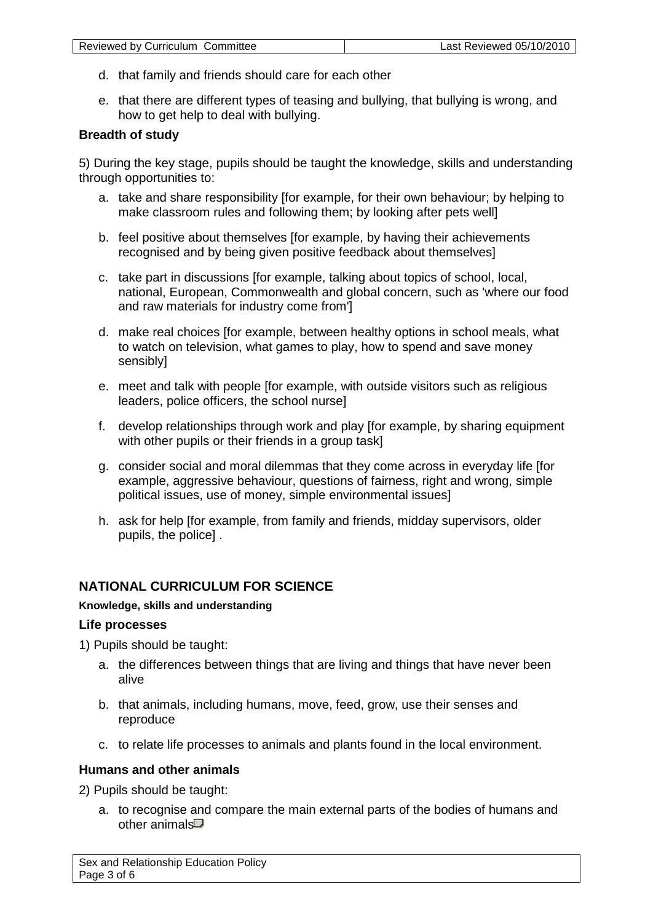- d. that family and friends should care for each other
- e. that there are different types of teasing and bullying, that bullying is wrong, and how to get help to deal with bullying.

## **Breadth of study**

5) During the key stage, pupils should be taught the knowledge, skills and understanding through opportunities to:

- a. take and share responsibility [for example, for their own behaviour; by helping to make classroom rules and following them; by looking after pets well]
- b. feel positive about themselves [for example, by having their achievements recognised and by being given positive feedback about themselves]
- c. take part in discussions [for example, talking about topics of school, local, national, European, Commonwealth and global concern, such as 'where our food and raw materials for industry come from']
- d. make real choices [for example, between healthy options in school meals, what to watch on television, what games to play, how to spend and save money sensibly]
- e. meet and talk with people [for example, with outside visitors such as religious leaders, police officers, the school nurse]
- f. develop relationships through work and play [for example, by sharing equipment with other pupils or their friends in a group task]
- g. consider social and moral dilemmas that they come across in everyday life [for example, aggressive behaviour, questions of fairness, right and wrong, simple political issues, use of money, simple environmental issues]
- h. ask for help [for example, from family and friends, midday supervisors, older pupils, the police] .

## **NATIONAL CURRICULUM FOR SCIENCE**

#### **Knowledge, skills and understanding**

#### **Life processes**

1) Pupils should be taught:

- a. the differences between things that are living and things that have never been alive
- b. that animals, including humans, move, feed, grow, use their senses and reproduce
- c. to relate life processes to animals and plants found in the local environment.

#### **Humans and other animals**

2) Pupils should be taught:

a. [to recognise and compare the main external parts of the bodies of humans and](http://www.nc.uk.net/webdav/servlet/XRM?Page/@id=6001&Session/@id=D_YVlu8I2PYIGhgUfnq62W&POS%5b@stateId_eq_main%5d/@id=6344&POS%5b@stateId_eq_note%5d/@id=6353)  [other animals](http://www.nc.uk.net/webdav/servlet/XRM?Page/@id=6001&Session/@id=D_YVlu8I2PYIGhgUfnq62W&POS%5b@stateId_eq_main%5d/@id=6344&POS%5b@stateId_eq_note%5d/@id=6353)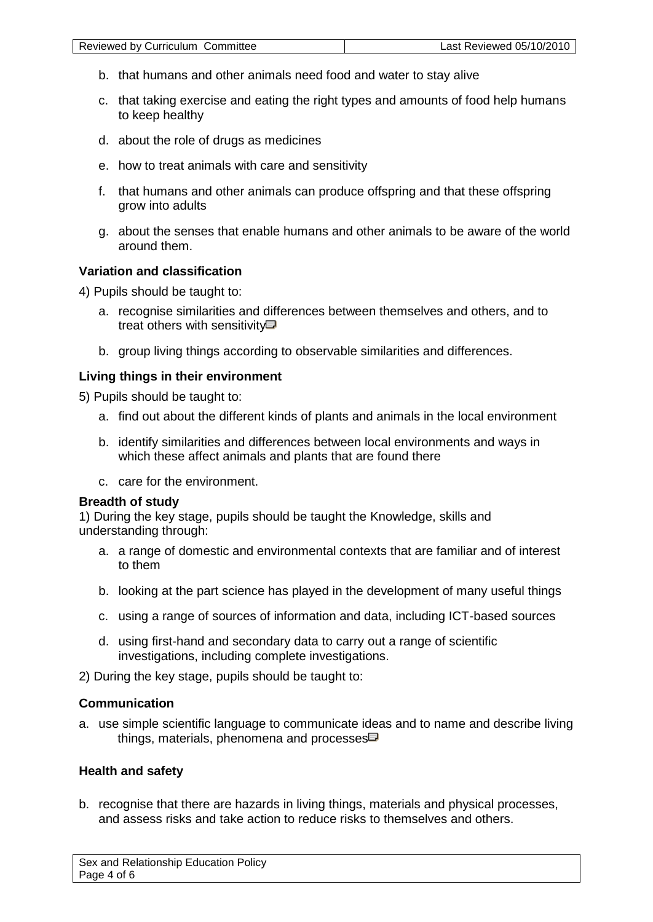- b. that humans and other animals need food and water to stay alive
- c. that taking exercise and eating the right types and amounts of food help humans to keep healthy
- d. about the role of drugs as medicines
- e. how to treat animals with care and sensitivity
- f. that humans and other animals can produce offspring and that these offspring grow into adults
- g. about the senses that enable humans and other animals to be aware of the world around them.

### **Variation and classification**

4) Pupils should be taught to:

- a. [recognise similarities and differences between themselves and others, and to](http://www.nc.uk.net/webdav/servlet/XRM?Page/@id=6001&Session/@id=D_YVlu8I2PYIGhgUfnq62W&POS%5b@stateId_eq_main%5d/@id=6344&POS%5b@stateId_eq_note%5d/@id=6367)  [treat others with sensitivity](http://www.nc.uk.net/webdav/servlet/XRM?Page/@id=6001&Session/@id=D_YVlu8I2PYIGhgUfnq62W&POS%5b@stateId_eq_main%5d/@id=6344&POS%5b@stateId_eq_note%5d/@id=6367) $\Box$
- b. group living things according to observable similarities and differences.

#### **Living things in their environment**

5) Pupils should be taught to:

- a. find out about the different kinds of plants and animals in the local environment
- b. identify similarities and differences between local environments and ways in which these affect animals and plants that are found there
- c. care for the environment.

#### **Breadth of study**

1) During the key stage, pupils should be taught the Knowledge, skills and understanding through:

- a. a range of domestic and environmental contexts that are familiar and of interest to them
- b. looking at the part science has played in the development of many useful things
- c. using a range of sources of information and data, including ICT-based sources
- d. using first-hand and secondary data to carry out a range of scientific investigations, including complete investigations.

2) During the key stage, pupils should be taught to:

## **Communication**

a. [use simple scientific language to communicate ideas and to name and describe living](http://www.nc.uk.net/webdav/servlet/XRM?Page/@id=6001&Session/@id=D_YVlu8I2PYIGhgUfnq62W&POS%5b@stateId_eq_main%5d/@id=6344&POS%5b@stateId_eq_note%5d/@id=6414)  [things, materials, phenomena and processes](http://www.nc.uk.net/webdav/servlet/XRM?Page/@id=6001&Session/@id=D_YVlu8I2PYIGhgUfnq62W&POS%5b@stateId_eq_main%5d/@id=6344&POS%5b@stateId_eq_note%5d/@id=6414) $\Box$ 

## **Health and safety**

b. recognise that there are hazards in living things, materials and physical processes, and assess risks and take action to reduce risks to themselves and others.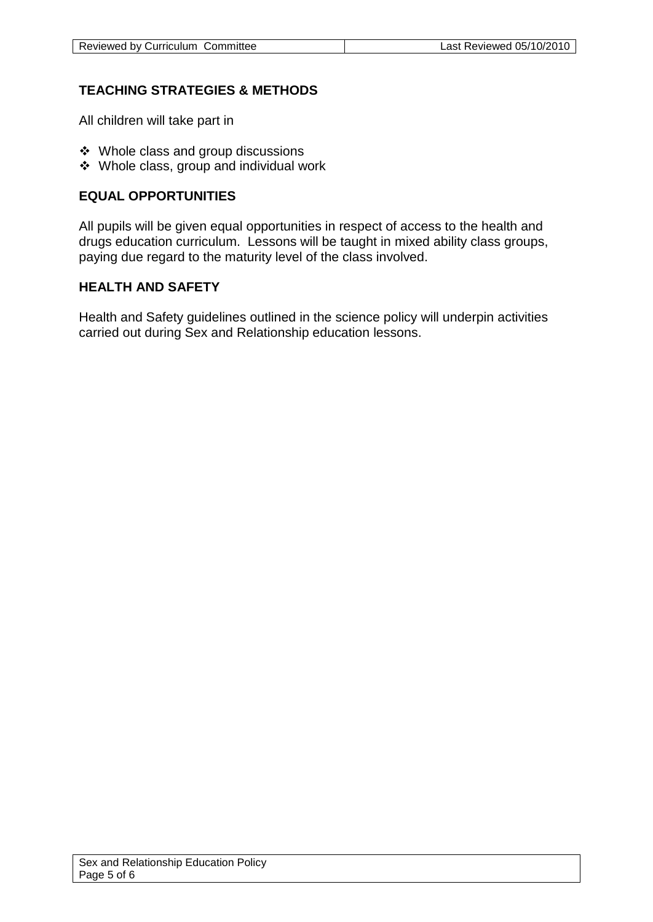# **TEACHING STRATEGIES & METHODS**

All children will take part in

- Whole class and group discussions
- Whole class, group and individual work

# **EQUAL OPPORTUNITIES**

All pupils will be given equal opportunities in respect of access to the health and drugs education curriculum. Lessons will be taught in mixed ability class groups, paying due regard to the maturity level of the class involved.

# **HEALTH AND SAFETY**

Health and Safety guidelines outlined in the science policy will underpin activities carried out during Sex and Relationship education lessons.